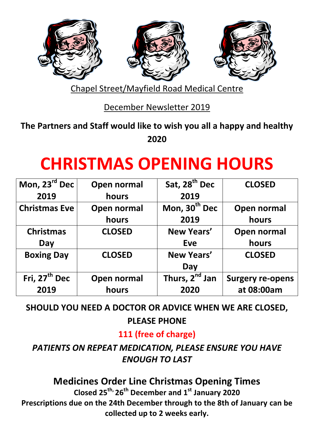

December Newsletter 2019

# **The Partners and Staff would like to wish you all a happy and healthy 2020**

# **CHRISTMAS OPENING HOURS**

| Mon, 23rd Dec             | Open normal   | Sat, 28 <sup>th</sup> Dec  | <b>CLOSED</b>           |
|---------------------------|---------------|----------------------------|-------------------------|
| 2019                      | hours         | 2019                       |                         |
| <b>Christmas Eve</b>      | Open normal   | Mon, 30 <sup>th</sup> Dec  | Open normal             |
|                           | hours         | 2019                       | hours                   |
| <b>Christmas</b>          | <b>CLOSED</b> | <b>New Years'</b>          | Open normal             |
| Day                       |               | Eve                        | hours                   |
| <b>Boxing Day</b>         | <b>CLOSED</b> | New Years'                 | <b>CLOSED</b>           |
|                           |               | Day                        |                         |
| Fri, 27 <sup>th</sup> Dec | Open normal   | Thurs, 2 <sup>nd</sup> Jan | <b>Surgery re-opens</b> |
| 2019                      | hours         | 2020                       | at 08:00am              |

**SHOULD YOU NEED A DOCTOR OR ADVICE WHEN WE ARE CLOSED, PLEASE PHONE**

**111 (free of charge)**

*PATIENTS ON REPEAT MEDICATION, PLEASE ENSURE YOU HAVE ENOUGH TO LAST*

# **Medicines Order Line Christmas Opening Times**

**Closed 25th, 26th December and 1st January 2020 Prescriptions due on the 24th December through to the 8th of January can be collected up to 2 weeks early.**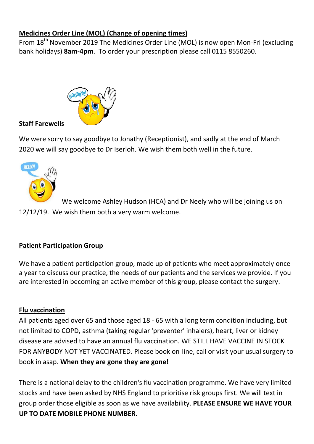### **Medicines Order Line (MOL) (Change of opening times)**

From 18th November 2019 The Medicines Order Line (MOL) is now open Mon-Fri (excluding bank holidays) **8am-4pm**. To order your prescription please call 0115 8550260.



#### **Staff Farewells**

We were sorry to say goodbye to Jonathy (Receptionist), and sadly at the end of March 2020 we will say goodbye to Dr Iserloh. We wish them both well in the future.



We welcome Ashley Hudson (HCA) and Dr Neely who will be joining us on 12/12/19. We wish them both a very warm welcome.

## **Patient Participation Group**

We have a patient participation group, made up of patients who meet approximately once a year to discuss our practice, the needs of our patients and the services we provide. If you are interested in becoming an active member of this group, please contact the surgery.

#### **Flu vaccination**

All patients aged over 65 and those aged 18 - 65 with a long term condition including, but not limited to COPD, asthma (taking regular 'preventer' inhalers), heart, liver or kidney disease are advised to have an annual flu vaccination. WE STILL HAVE VACCINE IN STOCK FOR ANYBODY NOT YET VACCINATED. Please book on-line, call or visit your usual surgery to book in asap. **When they are gone they are gone!** 

There is a national delay to the children's flu vaccination programme. We have very limited stocks and have been asked by NHS England to prioritise risk groups first. We will text in group order those eligible as soon as we have availability. **PLEASE ENSURE WE HAVE YOUR UP TO DATE MOBILE PHONE NUMBER.**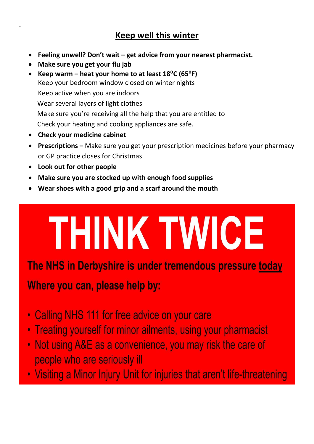# **Keep well this winter**

- **Feeling unwell? Don't wait – get advice from your nearest pharmacist.**
- **Make sure you get your flu jab**

.

- **Keep warm – heat your home to at least 18⁰C (65⁰F)** Keep your bedroom window closed on winter nights Keep active when you are indoors Wear several layers of light clothes Make sure you're receiving all the help that you are entitled to Check your heating and cooking appliances are safe.
- **Check your medicine cabinet**
- **Prescriptions –** Make sure you get your prescription medicines before your pharmacy or GP practice closes for Christmas
- **Look out for other people**
- **Make sure you are stocked up with enough food supplies**
- **Wear shoes with a good grip and a scarf around the mouth**

# **THINK TWICE**

The NHS in Derbyshire is under tremendous pressure today Where you can, please help by:

- Calling NHS 111 for free advice on your care
- Treating yourself for minor ailments, using your pharmacist
- Not using A&E as a convenience, you may risk the care of people who are seriously ill
- . Visiting a Minor Injury Unit for injuries that aren't life-threatening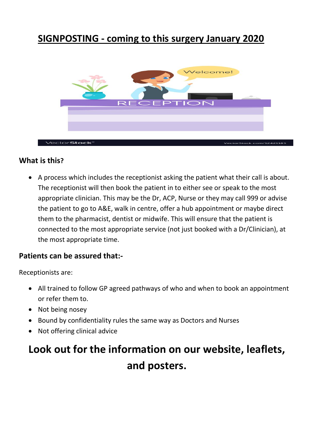# **SIGNPOSTING - coming to this surgery January 2020**



#### **What is this?**

 A process which includes the receptionist asking the patient what their call is about. The receptionist will then book the patient in to either see or speak to the most appropriate clinician. This may be the Dr, ACP, Nurse or they may call 999 or advise the patient to go to A&E, walk in centre, offer a hub appointment or maybe direct them to the pharmacist, dentist or midwife. This will ensure that the patient is connected to the most appropriate service (not just booked with a Dr/Clinician), at the most appropriate time.

#### **Patients can be assured that:-**

Receptionists are:

- All trained to follow GP agreed pathways of who and when to book an appointment or refer them to.
- Not being nosey
- Bound by confidentiality rules the same way as Doctors and Nurses
- Not offering clinical advice

# **Look out for the information on our website, leaflets, and posters.**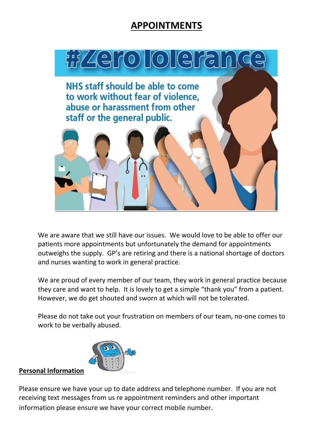# **APPOINTMENTS**



We are aware that we still have our issues. We would love to be able to offer our patients more appointments but unfortunately the demand for appointments outweighs the supply. GP's are retiring and there is a national shortage of doctors and nurses wanting to work in general practice.

We are proud of every member of our team, they work in general practice because they care and want to help. It is lovely to get a simple "thank you" from a patient. However, we do get shouted and sworn at which will not be tolerated.

Please do not take out your frustration on members of our team, no-one comes to work to be verbally abused.



#### **Personal Information**

Please ensure we have your up to date address and telephone number. If you are not receiving text messages from us re appointment reminders and other important information please ensure we have your correct mobile number.